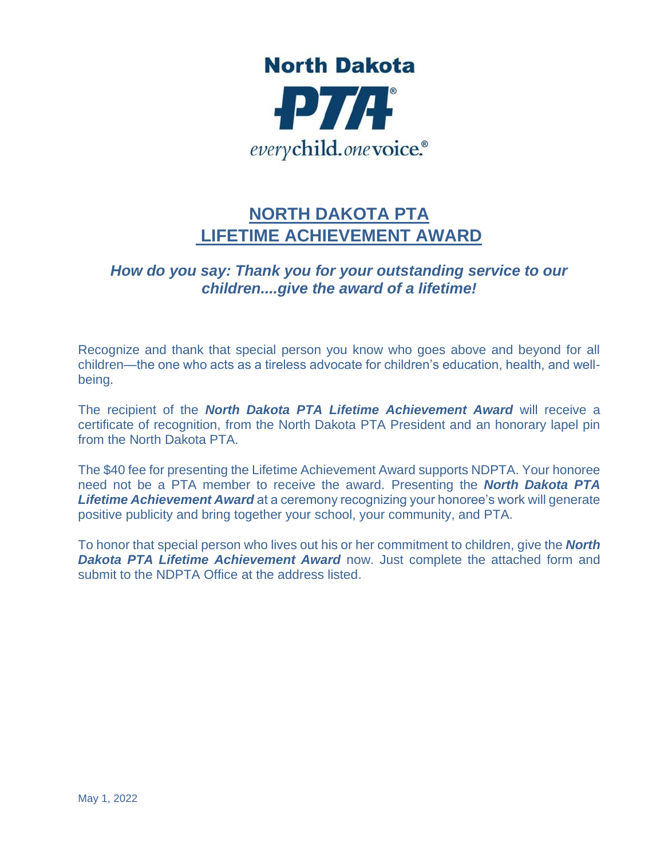

## **NORTH DAKOTA PTA LIFETIME ACHIEVEMENT AWARD**

## *How do you say: Thank you for your outstanding service to our children....give the award of a lifetime!*

Recognize and thank that special person you know who goes above and beyond for all children—the one who acts as a tireless advocate for children's education, health, and wellbeing.

The recipient of the *North Dakota PTA Lifetime Achievement Award* will receive a certificate of recognition, from the North Dakota PTA President and an honorary lapel pin from the North Dakota PTA.

The \$40 fee for presenting the Lifetime Achievement Award supports NDPTA. Your honoree need not be a PTA member to receive the award. Presenting the *North Dakota PTA Lifetime Achievement Award* at a ceremony recognizing your honoree's work will generate positive publicity and bring together your school, your community, and PTA.

To honor that special person who lives out his or her commitment to children, give the *North Dakota PTA Lifetime Achievement Award* now. [Just complete the attached form](about:blank) and submit to the NDPTA Office at the address listed.